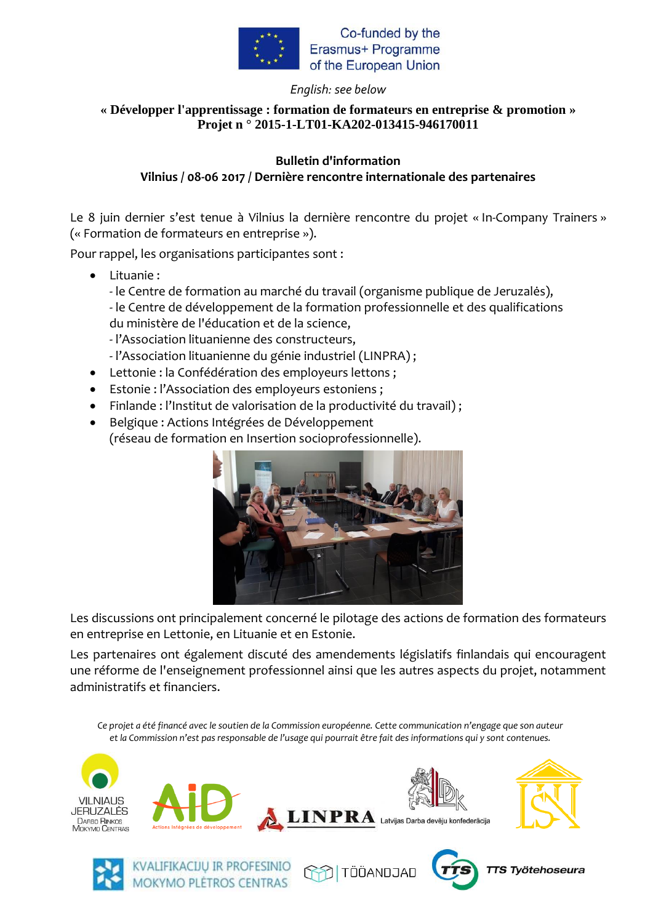

Co-funded by the Erasmus+ Programme of the European Union

### *English: see below*

## **« Développer l'apprentissage : formation de formateurs en entreprise & promotion » Projet n ° 2015-1-LT01-KA202-013415-946170011**

#### **Bulletin d'information Vilnius / 08-06 2017 / Dernière rencontre internationale des partenaires**

Le 8 juin dernier s'est tenue à Vilnius la dernière rencontre du projet « In-Company Trainers » (« Formation de formateurs en entreprise »).

Pour rappel, les organisations participantes sont :

Lituanie :

- le Centre de formation au marché du travail (organisme publique de Jeruzalės), - le Centre de développement de la formation professionnelle et des qualifications du ministère de l'éducation et de la science,

- l'Association lituanienne des constructeurs,

- l'Association lituanienne du génie industriel (LINPRA) ;
- Lettonie : la Confédération des employeurs lettons ;
- Estonie : l'Association des employeurs estoniens ;

**MOKYMO PLÉTROS CENTRAS** 

- Finlande : l'Institut de valorisation de la productivité du travail) ;
- Belgique : Actions Intégrées de Développement (réseau de formation en Insertion socioprofessionnelle).



Les discussions ont principalement concerné le pilotage des actions de formation des formateurs en entreprise en Lettonie, en Lituanie et en Estonie.

Les partenaires ont également discuté des amendements législatifs finlandais qui encouragent une réforme de l'enseignement professionnel ainsi que les autres aspects du projet, notamment administratifs et financiers.

*Ce projet a été financé avec le soutien de la Commission européenne. Cette communication n'engage que son auteur et la Commission n'est pas responsable de l'usage qui pourrait être fait des informations qui y sont contenues.*